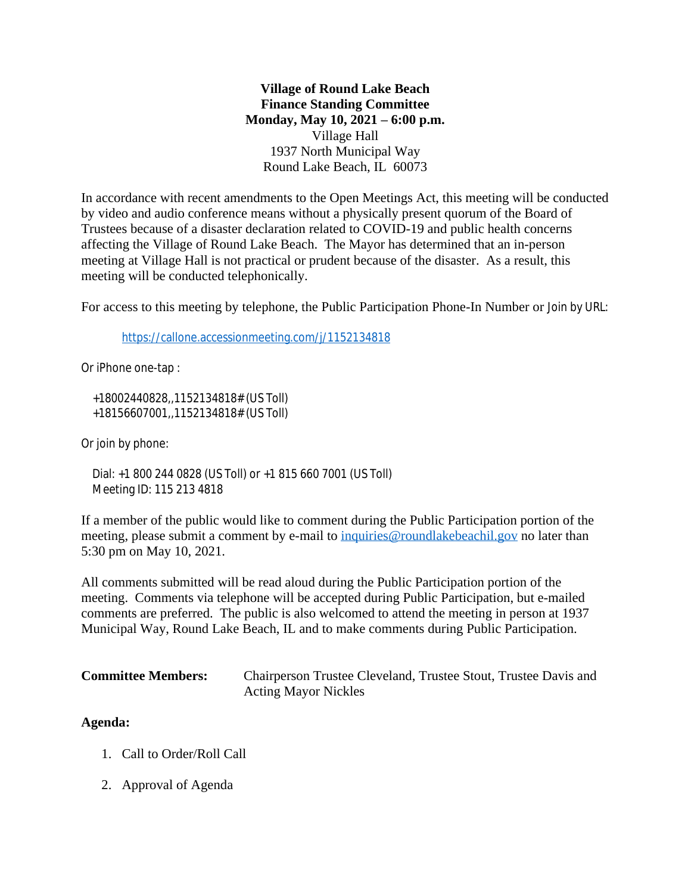**Village of Round Lake Beach Finance Standing Committee Monday, May 10, 2021 – 6:00 p.m.** Village Hall 1937 North Municipal Way Round Lake Beach, IL 60073

In accordance with recent amendments to the Open Meetings Act, this meeting will be conducted by video and audio conference means without a physically present quorum of the Board of Trustees because of a disaster declaration related to COVID-19 and public health concerns affecting the Village of Round Lake Beach. The Mayor has determined that an in-person meeting at Village Hall is not practical or prudent because of the disaster. As a result, this meeting will be conducted telephonically.

For access to this meeting by telephone, the Public Participation Phone-In Number or Join by URL:

<https://callone.accessionmeeting.com/j/1152134818>

Or iPhone one-tap :

 +18002440828,,1152134818# (US Toll) +18156607001,,1152134818# (US Toll)

Or join by phone:

 Dial: +1 800 244 0828 (US Toll) or +1 815 660 7001 (US Toll) Meeting ID: 115 213 4818

If a member of the public would like to comment during the Public Participation portion of the meeting, please submit a comment by e-mail to [inquiries@roundlakebeachil.gov](mailto:inquiries@roundlakebeachil.gov) no later than 5:30 pm on May 10, 2021.

All comments submitted will be read aloud during the Public Participation portion of the meeting. Comments via telephone will be accepted during Public Participation, but e-mailed comments are preferred. The public is also welcomed to attend the meeting in person at 1937 Municipal Way, Round Lake Beach, IL and to make comments during Public Participation.

| <b>Committee Members:</b> | Chairperson Trustee Cleveland, Trustee Stout, Trustee Davis and |
|---------------------------|-----------------------------------------------------------------|
|                           | <b>Acting Mayor Nickles</b>                                     |

## **Agenda:**

- 1. Call to Order/Roll Call
- 2. Approval of Agenda